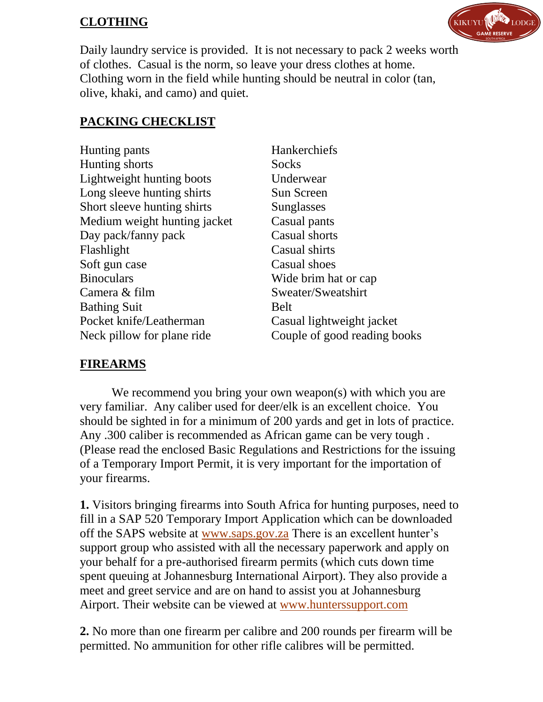# **CLOTHING**



Daily laundry service is provided. It is not necessary to pack 2 weeks worth of clothes. Casual is the norm, so leave your dress clothes at home. Clothing worn in the field while hunting should be neutral in color (tan, olive, khaki, and camo) and quiet.

# **PACKING CHECKLIST**

| Hunting pants                    | Hankerchiefs                 |
|----------------------------------|------------------------------|
| Hunting shorts                   | Socks                        |
| <b>Lightweight hunting boots</b> | Underwear                    |
| Long sleeve hunting shirts       | Sun Screen                   |
| Short sleeve hunting shirts      | Sunglasses                   |
| Medium weight hunting jacket     | Casual pants                 |
| Day pack/fanny pack              | Casual shorts                |
| Flashlight                       | Casual shirts                |
| Soft gun case                    | Casual shoes                 |
| <b>Binoculars</b>                | Wide brim hat or cap         |
| Camera & film                    | Sweater/Sweatshirt           |
| <b>Bathing Suit</b>              | Belt                         |
| Pocket knife/Leatherman          | Casual lightweight jacket    |
| Neck pillow for plane ride       | Couple of good reading books |
|                                  |                              |

#### **FIREARMS**

We recommend you bring your own weapon(s) with which you are very familiar. Any caliber used for deer/elk is an excellent choice. You should be sighted in for a minimum of 200 yards and get in lots of practice. Any .300 caliber is recommended as African game can be very tough . (Please read the enclosed Basic Regulations and Restrictions for the issuing of a Temporary Import Permit, it is very important for the importation of your firearms.

**1.** Visitors bringing firearms into South Africa for hunting purposes, need to fill in a SAP 520 Temporary Import Application which can be downloaded off the SAPS website at [www.saps.gov.za](http://www.saps.gov.za/) There is an excellent hunter's support group who assisted with all the necessary paperwork and apply on your behalf for a pre-authorised firearm permits (which cuts down time spent queuing at Johannesburg International Airport). They also provide a meet and greet service and are on hand to assist you at Johannesburg Airport. Their website can be viewed at [www.hunterssupport.com](http://www.hunterssupport.com/)

**2.** No more than one firearm per calibre and 200 rounds per firearm will be permitted. No ammunition for other rifle calibres will be permitted.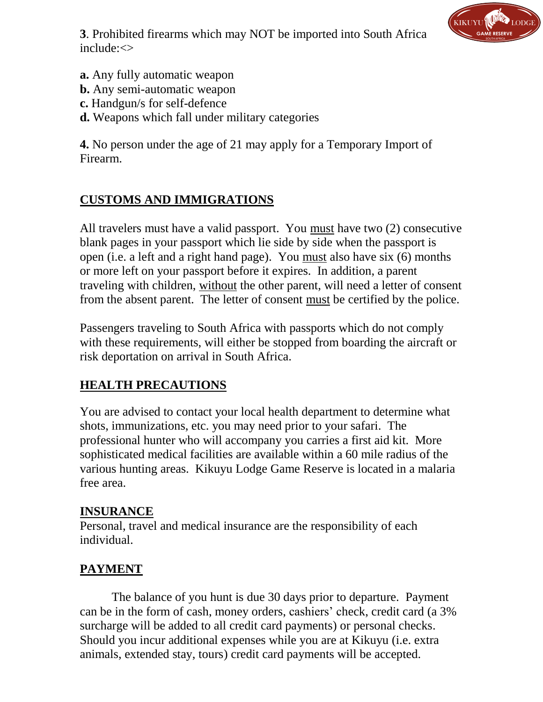**3**. Prohibited firearms which may NOT be imported into South Africa include:<>



- **a.** Any fully automatic weapon
- **b.** Any semi-automatic weapon
- **c.** Handgun/s for self-defence
- **d.** Weapons which fall under military categories

**4.** No person under the age of 21 may apply for a Temporary Import of Firearm.

## **CUSTOMS AND IMMIGRATIONS**

All travelers must have a valid passport. You must have two (2) consecutive blank pages in your passport which lie side by side when the passport is open (i.e. a left and a right hand page). You must also have six (6) months or more left on your passport before it expires. In addition, a parent traveling with children, without the other parent, will need a letter of consent from the absent parent. The letter of consent must be certified by the police.

Passengers traveling to South Africa with passports which do not comply with these requirements, will either be stopped from boarding the aircraft or risk deportation on arrival in South Africa.

#### **HEALTH PRECAUTIONS**

You are advised to contact your local health department to determine what shots, immunizations, etc. you may need prior to your safari. The professional hunter who will accompany you carries a first aid kit. More sophisticated medical facilities are available within a 60 mile radius of the various hunting areas. Kikuyu Lodge Game Reserve is located in a malaria free area.

#### **INSURANCE**

Personal, travel and medical insurance are the responsibility of each individual.

## **PAYMENT**

The balance of you hunt is due 30 days prior to departure. Payment can be in the form of cash, money orders, cashiers' check, credit card (a 3% surcharge will be added to all credit card payments) or personal checks. Should you incur additional expenses while you are at Kikuyu (i.e. extra animals, extended stay, tours) credit card payments will be accepted.